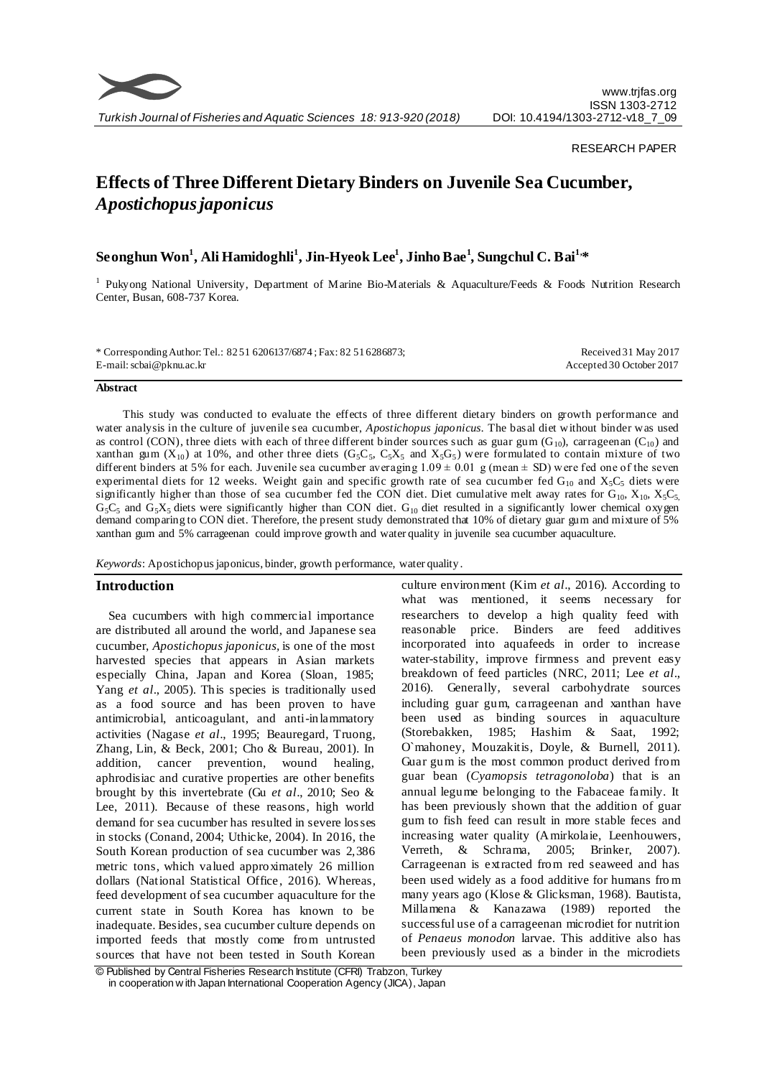

# RESEARCH PAPER

# **Effects of Three Different Dietary Binders on Juvenile Sea Cucumber,**  *Apostichopus japonicus*

# **Seonghun Won<sup>1</sup> , Ali Hamidoghli<sup>1</sup> , Jin-Hyeok Lee<sup>1</sup> , Jinho Bae<sup>1</sup> , Sungchul C. Bai1,\***

<sup>1</sup> Pukyong National University, Department of Marine Bio-Materials & Aquaculture/Feeds & Foods Nutrition Research Center, Busan, 608-737 Korea.

| * Corresponding Author: Tel.: 8251 6206137/6874; Fax: 82 51 628 6873; | Received 31 May 2017     |
|-----------------------------------------------------------------------|--------------------------|
| E-mail: scbai@pknu.ac.kr                                              | Accepted 30 October 2017 |

#### **Abstract**

This study was conducted to evaluate the effects of three different dietary binders on growth performance and water analysis in the culture of juvenile sea cucumber, *Apostichopus japonicus.* The basal diet without binder was used as control (CON), three diets with each of three different binder sources such as guar gum ( $G_{10}$ ), carrageenan ( $C_{10}$ ) and xanthan gum ( $X_{10}$ ) at 10%, and other three diets ( $G_5C_5$ ,  $C_5X_5$  and  $X_5G_5$ ) were formulated to contain mixture of two different binders at 5% for each. Juvenile sea cucumber averaging  $1.09 \pm 0.01$  g (mean  $\pm$  SD) were fed one of the seven experimental diets for 12 weeks. Weight gain and specific growth rate of sea cucumber fed  $G_{10}$  and  $X_5C_5$  diets were significantly higher than those of sea cucumber fed the CON diet. Diet cumulative melt away rates for  $G_{10}$ ,  $X_{10}$ ,  $X_5C_5$ ,  $G_5C_5$  and  $G_5X_5$  diets were significantly higher than CON diet.  $G_{10}$  diet resulted in a significantly lower chemical oxygen demand comparing to CON diet. Therefore, the present study demonstrated that 10% of dietary guar gum and mixture of 5% xanthan gum and 5% carrageenan could improve growth and water quality in juvenile sea cucumber aquaculture.

*Keywords*: Apostichopus japonicus, binder, growth performance, water quality.

# **Introduction**

Sea cucumbers with high commercial importance are distributed all around the world, and Japanese sea cucumber, *Apostichopus japonicus,* is one of the most harvested species that appears in Asian markets especially China, Japan and Korea (Sloan, 1985; Yang *et al*., 2005). This species is traditionally used as a food source and has been proven to have antimicrobial, anticoagulant, and anti-inlammatory activities (Nagase *et al*., 1995; Beauregard, Truong, Zhang, Lin, & Beck, 2001; Cho & Bureau, 2001). In addition, cancer prevention, wound healing, aphrodisiac and curative properties are other benefits brought by this invertebrate (Gu *et al*., 2010; Seo & Lee, 2011). Because of these reasons, high world demand for sea cucumber has resulted in severe losses in stocks (Conand, 2004; Uthicke, 2004). In 2016, the South Korean production of sea cucumber was 2,386 metric tons, which valued approximately 26 million dollars (National Statistical Office, 2016). Whereas, feed development of sea cucumber aquaculture for the current state in South Korea has known to be inadequate. Besides, sea cucumber culture depends on imported feeds that mostly come from untrusted sources that have not been tested in South Korean culture environment (Kim *et al*., 2016). According to what was mentioned, it seems necessary for researchers to develop a high quality feed with reasonable price. Binders are feed additives incorporated into aquafeeds in order to increase water-stability, improve firmness and prevent easy breakdown of feed particles (NRC, 2011; Lee *et al*., 2016). Generally, several carbohydrate sources including guar gum, carrageenan and xanthan have been used as binding sources in aquaculture (Storebakken, 1985; Hashim & Saat, 1992; O`mahoney, Mouzakitis, Doyle, & Burnell, 2011). Guar gum is the most common product derived from guar bean (*Cyamopsis tetragonoloba*) that is an annual legume belonging to the Fabaceae family. It has been previously shown that the addition of guar gum to fish feed can result in more stable feces and increasing water quality (Amirkolaie, Leenhouwers, Verreth, & Schrama, 2005; Brinker, 2007). Carrageenan is extracted from red seaweed and has been used widely as a food additive for humans fro m many years ago (Klose & Glicksman, 1968). Bautista, Millamena & Kanazawa (1989) reported the successful use of a carrageenan microdiet for nutrition of *Penaeus monodon* larvae. This additive also has been previously used as a binder in the microdiets

<sup>©</sup> Published by Central Fisheries Research Institute (CFRI) Trabzon, Turkey in cooperation w ith Japan International Cooperation Agency (JICA), Japan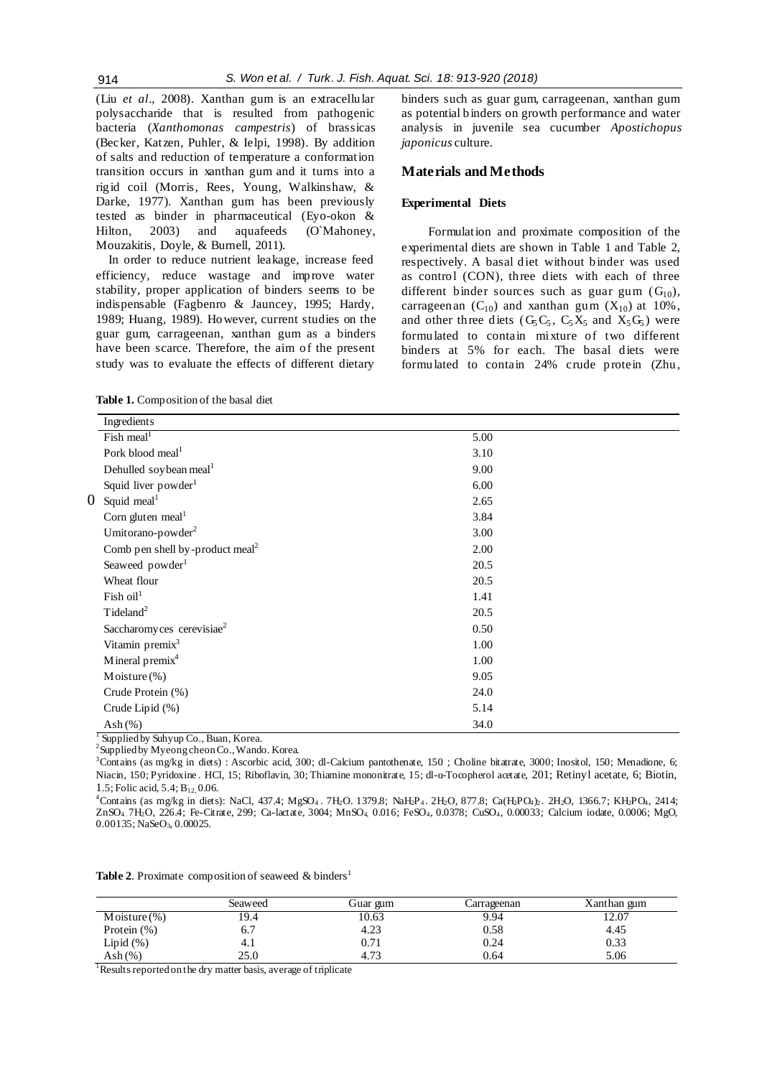(Liu *et al*., 2008). Xanthan gum is an extracellular polysaccharide that is resulted from pathogenic bacteria (*Xanthomonas campestris*) of brassicas (Becker, Katzen, Puhler, & Ielpi, 1998). By addition of salts and reduction of temperature a conformation transition occurs in xanthan gum and it turns into a rigid coil (Morris, Rees, Young, Walkinshaw, & Darke, 1977). Xanthan gum has been previously tested as binder in pharmaceutical (Eyo-okon & Hilton, 2003) and aquafeeds (O`Mahoney, Mouzakitis, Doyle, & Burnell, 2011).

In order to reduce nutrient leakage, increase feed efficiency, reduce wastage and improve water stability, proper application of binders seems to be indispensable (Fagbenro & Jauncey, 1995; Hardy, 1989; Huang, 1989). However, current studies on the guar gum, carrageenan, xanthan gum as a binders have been scarce. Therefore, the aim of the present study was to evaluate the effects of different dietary

binders such as guar gum, carrageenan, xanthan gum as potential binders on growth performance and water analysis in juvenile sea cucumber *Apostichopus japonicus* culture.

#### **Materials and Methods**

#### **Experimental Diets**

Formulation and proximate composition of the experimental diets are shown in Table 1 and Table 2, respectively. A basal diet without binder was used as control (CON), three diets with each of three different binder sources such as guar gum  $(G_{10})$ , carrageenan  $(C_{10})$  and xanthan gum  $(X_{10})$  at 10%, and other three diets  $(G_5C_5, C_5X_5, G_5X_6)$  were formulated to contain mixture of two different binders at 5% for each. The basal diets were formulated to contain 24% crude protein (Zhu,

**Table 1.** Composition of the basal diet

| Pork blood meal <sup>1</sup>                | 3.10                                                                                    |      |
|---------------------------------------------|-----------------------------------------------------------------------------------------|------|
| Dehulled soybean meal <sup>1</sup>          | 9.00                                                                                    |      |
| Squid liver powder <sup>1</sup>             | 6.00                                                                                    |      |
| Squid meal <sup>1</sup>                     | 2.65                                                                                    |      |
| Corn gluten meal $1$                        | 3.84                                                                                    |      |
| Umitorano-powder <sup>2</sup>               | 3.00                                                                                    |      |
| Comb pen shell by-product meal <sup>2</sup> | 2.00                                                                                    |      |
| Seaweed powder <sup>1</sup>                 | 20.5                                                                                    |      |
| Wheat flour                                 | 20.5                                                                                    |      |
| $Fish$ oil <sup>1</sup>                     | 1.41                                                                                    |      |
| $T$ ideland <sup>2</sup>                    | 20.5                                                                                    |      |
| Saccharomy ces cerevisiae <sup>2</sup>      | 0.50                                                                                    |      |
| Vitamin premix <sup>3</sup>                 | 1.00                                                                                    |      |
| Mineral premix <sup>4</sup>                 | 1.00                                                                                    |      |
| Moisture $(\%)$                             | 9.05                                                                                    |      |
| Crude Protein (%)                           | 24.0                                                                                    |      |
| Crude Lipid (%)                             | 5.14                                                                                    |      |
| Ash $(\%)$                                  | 34.0                                                                                    |      |
|                                             | Ingredients<br>Fish meal <sup>1</sup><br>$\Gamma$ Synnliad by Sylvan $C_0$ , Dyon Koroa | 5.00 |

Supplied by Suhyup Co., Buan, Korea.

<sup>2</sup>Supplied by Myeong cheon Co., Wando. Korea.

<sup>3</sup>Contains (as mg/kg in diets) : Ascorbic acid, 300; dl-Calcium pantothenate, 150 ; Choline bitatrate, 3000; Inositol, 150; Menadione, 6; Niacin, 150; Pyridoxine․ HCl, 15; Riboflavin, 30; Thiamine mononitrate, 15; dl-α-Tocopherol acetate, 201; Retinyl acetate, 6; Biotin, 1.5; Folic acid, 5.4; B12, 0.06.

 $^{4}$ Contains (as mg/kg in diets): NaCl, 437.4; MgSO<sub>4</sub>. 7H<sub>2</sub>O. 1379.8; NaH<sub>2</sub>P<sub>4</sub>. 2H<sub>2</sub>O, 877.8; Ca(H<sub>2</sub>PO<sub>4</sub>)<sub>2</sub>. 2H<sub>2</sub>O, 1366.7; KH<sub>2</sub>PO<sub>4</sub>, 2414; ZnSO4․7H2O, 226.4; Fe-Citrate, 299; Ca-lactate, 3004; MnSO4, 0.016; FeSO4, 0.0378; CuSO4, 0.00033; Calcium iodate, 0.0006; MgO,  $0.00135$ ; NaSeO<sub>3</sub>, 0.00025.

**Table 2.** Proximate composition of seaweed  $\&$  binders<sup>1</sup>

|                 | Seaweed | Guar gum | Carrageenan | Xanthan gum |
|-----------------|---------|----------|-------------|-------------|
| Moisture $(\%)$ | 9.4     | 10.63    | 9.94        | 12.07       |
| Protein $(\%)$  | o.,     | 4.23     | 0.58        | 4.45        |
| Lipid $(\%)$    | 4.1     | 0.71     | 0.24        | 0.33        |
| Ash $(\%)$      | 25.0    | 4.73     | 0.64        | 5.06        |

<sup>1</sup>Results reported on the dry matter basis, average of triplicate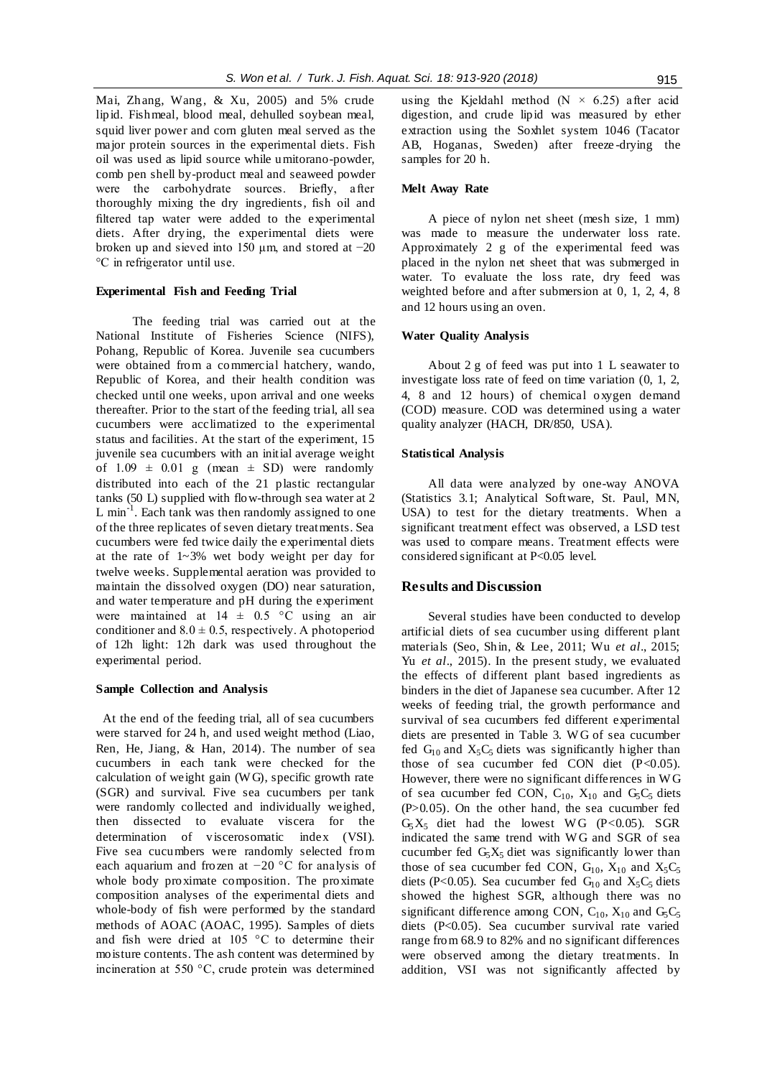Mai, Zhang, Wang, & Xu, 2005) and 5% crude lipid. Fishmeal, blood meal, dehulled soybean meal, squid liver power and corn gluten meal served as the major protein sources in the experimental diets. Fish oil was used as lipid source while umitorano-powder, comb pen shell by-product meal and seaweed powder were the carbohydrate sources. Briefly, after thoroughly mixing the dry ingredients, fish oil and filtered tap water were added to the experimental diets. After drying, the experimental diets were broken up and sieved into 150 μm, and stored at −20 °C in refrigerator until use.

## **Experimental Fish and Feeding Trial**

The feeding trial was carried out at the National Institute of Fisheries Science (NIFS), Pohang, Republic of Korea. Juvenile sea cucumbers were obtained from a commercial hatchery, wando, Republic of Korea, and their health condition was checked until one weeks, upon arrival and one weeks thereafter. Prior to the start of the feeding trial, all sea cucumbers were acclimatized to the experimental status and facilities. At the start of the experiment, 15 juvenile sea cucumbers with an initial average weight of  $1.09 \pm 0.01$  g (mean  $\pm$  SD) were randomly distributed into each of the 21 plastic rectangular tanks (50 L) supplied with flow-through sea water at 2 L min $^{-1}$ . Each tank was then randomly assigned to one of the three replicates of seven dietary treatments. Sea cucumbers were fed twice daily the experimental diets at the rate of 1~3% wet body weight per day for twelve weeks. Supplemental aeration was provided to maintain the dissolved oxygen (DO) near saturation, and water temperature and pH during the experiment were maintained at  $14 \pm 0.5$  °C using an air conditioner and  $8.0 \pm 0.5$ , respectively. A photoperiod of 12h light: 12h dark was used throughout the experimental period.

#### **Sample Collection and Analysis**

At the end of the feeding trial, all of sea cucumbers were starved for 24 h, and used weight method (Liao, Ren, He, Jiang, & Han, 2014). The number of sea cucumbers in each tank were checked for the calculation of weight gain (W G), specific growth rate (SGR) and survival. Five sea cucumbers per tank were randomly collected and individually weighed, then dissected to evaluate viscera for the determination of viscerosomatic index (VSI). Five sea cucumbers were randomly selected from each aquarium and frozen at −20 °C for analysis of whole body proximate composition. The proximate composition analyses of the experimental diets and whole-body of fish were performed by the standard methods of AOAC (AOAC, 1995). Samples of diets and fish were dried at 105 °C to determine their moisture contents. The ash content was determined by incineration at 550 °C, crude protein was determined using the Kjeldahl method ( $N \times 6.25$ ) after acid digestion, and crude lipid was measured by ether extraction using the Soxhlet system 1046 (Tacator AB, Hoganas, Sweden) after freeze -drying the samples for 20 h.

# **Melt Away Rate**

A piece of nylon net sheet (mesh size, 1 mm) was made to measure the underwater loss rate. Approximately 2 g of the experimental feed was placed in the nylon net sheet that was submerged in water. To evaluate the loss rate, dry feed was weighted before and after submersion at 0, 1, 2, 4, 8 and 12 hours using an oven.

#### **Water Quality Analysis**

About 2 g of feed was put into 1 L seawater to investigate loss rate of feed on time variation (0, 1, 2, 4, 8 and 12 hours) of chemical oxygen demand (COD) measure. COD was determined using a water quality analyzer (HACH, DR/850, USA).

# **Statistical Analysis**

All data were analyzed by one-way ANOVA (Statistics 3.1; Analytical Software, St. Paul, MN, USA) to test for the dietary treatments. When a significant treatment effect was observed, a LSD test was used to compare means. Treatment effects were considered significant at P<0.05 level.

#### **Results and Discussion**

Several studies have been conducted to develop artificial diets of sea cucumber using different plant materials (Seo, Shin, & Lee, 2011; Wu *et al*., 2015; Yu *et al*., 2015). In the present study, we evaluated the effects of different plant based ingredients as binders in the diet of Japanese sea cucumber. After 12 weeks of feeding trial, the growth performance and survival of sea cucumbers fed different experimental diets are presented in Table 3. W G of sea cucumber fed  $G_{10}$  and  $X_5C_5$  diets was significantly higher than those of sea cucumber fed CON diet  $(P<0.05)$ . However, there were no significant differences in W G of sea cucumber fed CON,  $C_{10}$ ,  $X_{10}$  and  $G_5C_5$  diets (P>0.05). On the other hand, the sea cucumber fed  $G_5X_5$  diet had the lowest WG (P<0.05). SGR indicated the same trend with WG and SGR of sea cucumber fed  $G_5X_5$  diet was significantly lower than those of sea cucumber fed CON,  $G_{10}$ ,  $X_{10}$  and  $X_5C_5$ diets (P<0.05). Sea cucumber fed  $G_{10}$  and  $X_5C_5$  diets showed the highest SGR, although there was no significant difference among CON,  $C_{10}$ ,  $X_{10}$  and  $G_5C_5$ diets (P<0.05). Sea cucumber survival rate varied range from 68.9 to 82% and no significant differences were observed among the dietary treatments. In addition, VSI was not significantly affected by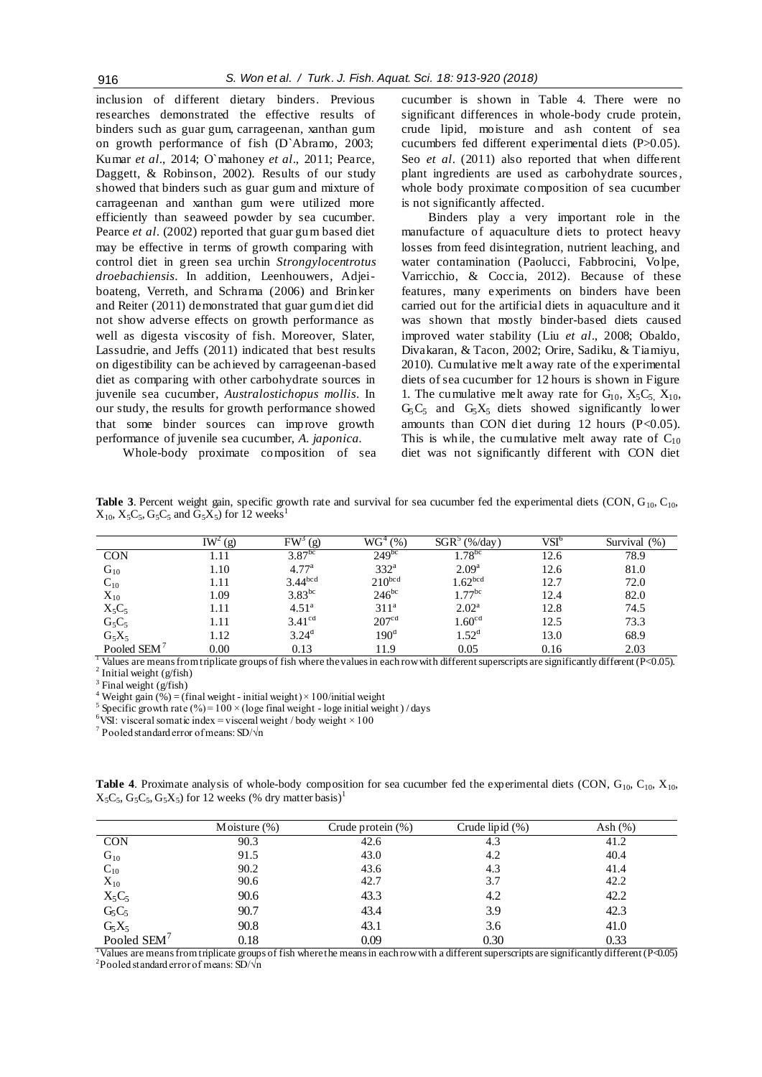inclusion of different dietary binders. Previous researches demonstrated the effective results of binders such as guar gum, carrageenan, xanthan gum on growth performance of fish (D`Abramo, 2003; Kumar *et al*., 2014; O`mahoney *et al*., 2011; Pearce, Daggett, & Robinson, 2002). Results of our study [showed](http://endic.naver.com/search.nhn?query=recommend) that binders such as guar gum and mixture of carrageenan and xanthan gum were utilized more efficiently than seaweed powder by sea cucumber. Pearce *et al*. (2002) reported that guar gum based diet may be effective in terms of growth comparing with control diet in green sea urchin *Strongylocentrotus droebachiensis*. In addition, Leenhouwers, Adjeiboateng, Verreth, and Schrama (2006) and Brinker and Reiter (2011) demonstrated that guar gum diet did not show adverse effects on growth performance as well as digesta viscosity of fish. Moreover, Slater, Lassudrie, and Jeffs (2011) indicated that best results on digestibility can be achieved by carrageenan-based diet as comparing with other carbohydrate sources in juvenile sea cucumber, *Australostichopus mollis*. In our study, the results for growth performance showed that some binder sources can improve growth performance of juvenile sea cucumber, *A. japonica.*

cucumber is shown in Table 4. There were no significant differences in whole-body crude protein, crude lipid, moisture and ash content of sea cucumbers fed different experimental diets (P>0.05). Seo *et al*. (2011) also reported that when different plant ingredients are used as carbohydrate sources, whole body proximate composition of sea cucumber is not significantly affected.

Binders play a very important role in the manufacture of aquaculture diets to protect heavy losses from feed disintegration, nutrient leaching, and water contamination (Paolucci, Fabbrocini, Volpe, Varricchio, & Coccia, 2012). Because of these features, many experiments on binders have been carried out for the artificial diets in aquaculture and it was shown that mostly binder-based diets caused improved water stability (Liu *et al*., 2008; Obaldo, Divakaran, & Tacon, 2002; Orire, Sadiku, & Tiamiyu, 2010). Cumulative melt away rate of the experimental diets of sea cucumber for 12 hours is shown in Figure 1. The cumulative melt away rate for  $G_{10}$ ,  $X_5C_5$ ,  $X_{10}$ ,  $G_5C_5$  and  $G_5X_5$  diets showed significantly lower amounts than CON diet during 12 hours  $(P<0.05)$ . This is while, the cumulative melt away rate of  $C_{10}$ diet was not significantly different with CON diet

Whole-body proximate composition of sea

**Table 3**. Percent weight gain, specific growth rate and survival for sea cucumber fed the experimental diets (CON,  $G_{10}$ ,  $C_{10}$ ,  $X_{10}$ ,  $X_5C_5$ ,  $G_5C_5$  and  $G_5X_5$ ) for 12 weeks<sup>1</sup>

|                         | IW <sup>2</sup><br>(g) | FW <sup>3</sup><br>(g) | $\rm W G^4$<br>(% ) | $SGR^3$<br>(% /day) | $\mathrm{VSI}^6$ | (% )<br>Survival |
|-------------------------|------------------------|------------------------|---------------------|---------------------|------------------|------------------|
| <b>CON</b>              | 1.11                   | $3.87^{bc}$            | $249^{bc}$          | $1.78^{bc}$         | 12.6             | 78.9             |
| $G_{10}$                | 1.10                   | 4.77 <sup>a</sup>      | $332^a$             | 2.09 <sup>a</sup>   | 12.6             | 81.0             |
| $\mathrm{C_{10}}$       | l.11                   | $3.44^{bcd}$           | $210^{bcd}$         | 1.62 <sup>bcd</sup> | 12.7             | 72.0             |
| $X_{10}$                | 1.09                   | $3.83^{bc}$            | $246^{bc}$          | $.77^{bc}$          | 12.4             | 82.0             |
| $X_5C_5$                | 1.11                   | 4.51 <sup>a</sup>      | $311^a$             | $2.02^{\rm a}$      | 12.8             | 74.5             |
| $G_5C_5$                | 1.11                   | 3.41 <sup>cd</sup>     | 207 <sup>cd</sup>   | 1.60 <sup>cd</sup>  | 12.5             | 73.3             |
| $G_5X_5$                | 1.12                   | $3.24^{d}$             | 190 <sup>d</sup>    | $1.52^{\rm d}$      | 13.0             | 68.9             |
| Pooled SEM <sup>7</sup> | 0.00                   | 0.13                   | 11.9                | 0.05                | 0.16             | 2.03             |

<sup>1</sup> Values are means from triplicate groups of fish where the values in each row with different superscripts are significantly different (P<0.05).  $2$  Initial weight (g/fish)

 $3$  Final weight (g/fish)

<sup>4</sup> Weight gain (%) = (final weight - initial weight) × 100/initial weight

<sup>5</sup> Specific growth rate (%) =  $100 \times$  (loge final weight - loge initial weight) / days

<sup>6</sup>VSI: visceral somatic index = visceral weight / body weight  $\times$  100

 $7$  Pooled standard error of means: SD/ $\sqrt{n}$ 

**Table 4**. Proximate analysis of whole-body composition for sea cucumber fed the experimental diets (CON,  $G_{10}$ ,  $C_{10}$ ,  $X_{10}$ ,  $X_5C_5$ ,  $G_5C_5$ ,  $G_5X_5$ ) for 12 weeks (% dry matter basis)<sup>1</sup>

|              | Moisture $(\%)$ | Crude protein $(\%)$ | Crude lipid $(\%)$ | Ash $(\%)$ |
|--------------|-----------------|----------------------|--------------------|------------|
| <b>CON</b>   | 90.3            | 42.6                 | 4.3                | 41.2       |
| $G_{10}$     | 91.5            | 43.0                 | 4.2                | 40.4       |
| $C_{10}$     | 90.2            | 43.6                 | 4.3                | 41.4       |
| $\rm X_{10}$ | 90.6            | 42.7                 | 3.7                | 42.2       |
| $X_5C_5$     | 90.6            | 43.3                 | 4.2                | 42.2       |
| $G_5C_5$     | 90.7            | 43.4                 | 3.9                | 42.3       |
| $G_5X_5$     | 90.8            | 43.1                 | 3.6                | 41.0       |
| Pooled SEM   | 0.18            | 0.09                 | 0.30               | 0.33       |

<sup>1</sup>Values are means from triplicate groups of fish where the means in each row with a different superscripts are significantly different (P<0.05) <sup>2</sup>Pooled standard error of means:  $\overline{\text{SD}}/\sqrt{\text{n}}$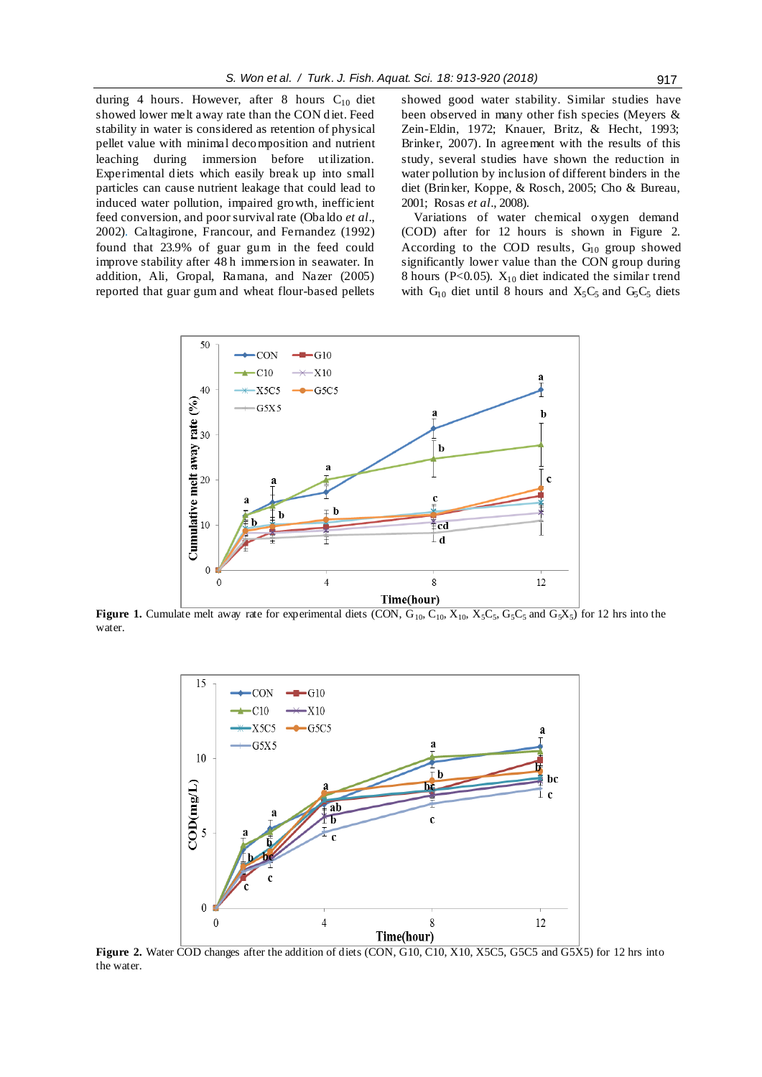during 4 hours. However, after 8 hours  $C_{10}$  diet showed lower melt away rate than the CON diet. Feed stability in water is considered as retention of physical pellet value with minimal decomposition and nutrient leaching during immersion before utilization. Experimental diets which easily break up into small particles can cause nutrient leakage that could lead to induced water pollution, impaired growth, inefficient feed conversion, and poor survival rate (Oba ldo *et al*., 2002). Caltagirone, Francour, and Fernandez (1992) found that 23.9% of guar gum in the feed could improve stability after 48 h immersion in seawater. In addition, Ali, Gropal, Ramana, and Nazer (2005) reported that guar gum and wheat flour-based pellets showed good water stability. Similar studies have been observed in many other fish species (Meyers & Zein-Eldin, 1972; Knauer, Britz, & Hecht, 1993; Brinker, 2007). In agreement with the results of this study, several studies have shown the reduction in water pollution by inclusion of different binders in the diet (Brinker, Koppe, & Rosch, 2005; Cho & Bureau, 2001; Rosas *et al*., 2008).

Variations of water chemical oxygen demand (COD) after for 12 hours is shown in Figure 2. According to the COD results,  $G_{10}$  group showed significantly lower value than the CON group during 8 hours (P<0.05).  $X_{10}$  diet indicated the similar trend with  $G_{10}$  diet until 8 hours and  $X_5C_5$  and  $G_5C_5$  diets



**Figure 1.** Cumulate melt away rate for experimental diets (CON,  $G_{10}$ ,  $C_{10}$ ,  $X_{10}$ ,  $X_5C_5$ ,  $G_5C_5$  and  $G_5X_5$ ) for 12 hrs into the water.



**Figure 2.** Water COD changes after the addition of diets (CON, G10, C10, X10, X5C5, G5C5 and G5X5) for 12 hrs into the water.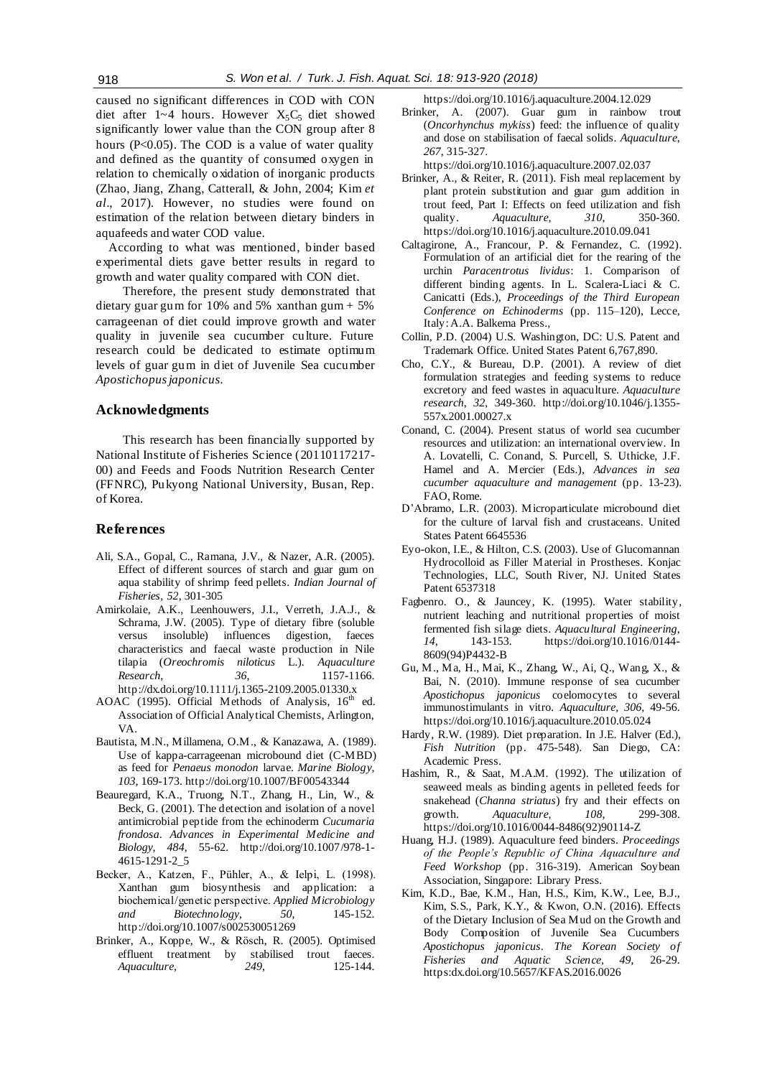caused no significant differences in COD with CON diet after 1~4 hours. However  $X_5C_5$  diet showed significantly lower value than the CON group after 8 hours (P<0.05). The COD is a value of water quality and defined as the quantity of consumed oxygen in relation to chemically oxidation of inorganic products (Zhao, Jiang, Zhang, Catterall, & John, 2004; Kim *et al*., 2017). However, no studies were found on estimation of the relation between dietary binders in aquafeeds and water COD value.

According to what was mentioned, binder based experimental diets gave better results in regard to growth and water quality compared with CON diet.

Therefore, the present study demonstrated that dietary guar gum for  $10\%$  and  $5\%$  xanthan gum +  $5\%$ carrageenan of diet could improve growth and water quality in juvenile sea cucumber culture. Future research could be dedicated to estimate optimum levels of guar gum in diet of Juvenile Sea cucumber *Apostichopus japonicus*.

#### **Acknowledgments**

This research has been financially supported by National Institute of Fisheries Science (20110117217- 00) and Feeds and Foods Nutrition Research Center (FFNRC), Pukyong National University, Busan, Rep. of Korea.

# **References**

- Ali, S.A., Gopal, C., Ramana, J.V., & Nazer, A.R. (2005). Effect of different sources of starch and guar gum on aqua stability of shrimp feed pellets. *Indian Journal of Fisheries*, *52*, 301-305
- Amirkolaie, A.K., Leenhouwers, J.I., Verreth, J.A.J., & Schrama, J.W. (2005). Type of dietary fibre (soluble versus insoluble) influences digestion, faeces characteristics and faecal waste production in Nile tilapia (*Oreochromis niloticus* L.). *Aquaculture Research*, *36*, 1157-1166. http://dx.doi.org/10.1111/j.1365-2109.2005.01330.x
- AOAC (1995). Official Methods of Analysis,  $16<sup>th</sup>$  ed. Association of Official Analytical Chemists, Arlington, VA.
- Bautista, M.N., Millamena, O.M., & Kanazawa, A. (1989). Use of kappa-carrageenan microbound diet (C-MBD) as feed for *Penaeus monodon* larvae. *Marine Biology*, *103*, 169-173. http://doi.org/10.1007/BF00543344
- Beauregard, K.A., Truong, N.T., Zhang, H., Lin, W., & Beck, G. (2001). The detection and isolation of a novel antimicrobial peptide from the echinoderm *Cucumaria frondosa*. *Advances in Experimental Medicine and Biology*, *484*, 55-62. http://doi.org/10.1007/978-1- 4615-1291-2\_5
- Becker, A., Katzen, F., Pühler, A., & Ielpi, L. (1998). Xanthan gum biosynthesis and application: a biochemical /genetic perspective. *Applied Microbiology and Biotechnology*, *50*, 145-152. http://doi.org/10.1007/s002530051269
- Brinker, A., Koppe, W., & Rösch, R. (2005). Optimised effluent treatment by stabilised trout faeces. *Aquaculture*, *249*, 125-144.

https://doi.org/10.1016/j.aquaculture.2004.12.029

Brinker, A. (2007). Guar gum in rainbow trout (*Oncorhynchus mykiss*) feed: the influence of quality and dose on stabilisation of faecal solids. *Aquaculture*, *267*, 315-327.

https://doi.org/10.1016/j.aquaculture.2007.02.037

- Brinker, A., & Reiter, R. (2011). Fish meal replacement by plant protein substitution and guar gum addition in trout feed, Part I: Effects on feed utilization and fish quality. *Aquaculture, 310*, 350-360. https://doi.org/10.1016/j.aquaculture.2010.09.041
- Caltagirone, A., Francour, P. & Fernandez, C. (1992). Formulation of an artificial diet for the rearing of the urchin *Paracentrotus lividus*: 1. Comparison of different binding agents. In L. Scalera-Liaci & C. Canicatti (Eds.), *Proceedings of the Third European Conference on Echinoderms* (pp. 115–120), Lecce, Italy:A.A. Balkema Press.,
- Collin, P.D. (2004) U.S. Washington, DC: U.S. Patent and Trademark Office. United States Patent 6,767,890.
- Cho, C.Y., & Bureau, D.P. (2001). A review of diet formulation strategies and feeding systems to reduce excretory and feed wastes in aquaculture. *Aquaculture research*, *32*, 349-360. http://doi.org/10.1046/j.1355- 557x.2001.00027.x
- Conand, C. (2004). Present status of world sea cucumber resources and utilization: an international overview. In A. Lovatelli, C. Conand, S. Purcell, S. Uthicke, J.F. Hamel and A. Mercier (Eds.), *Advances in sea cucumber aquaculture and management* (pp. 13-23). FAO, Rome.
- D'Abramo, L.R. (2003). Microparticulate microbound diet for the culture of larval fish and crustaceans. United States Patent 6645536
- Eyo-okon, I.E., & Hilton, C.S. (2003). Use of Glucomannan Hydrocolloid as Filler Material in Prostheses. Konjac Technologies, LLC, South River, NJ. United States Patent 6537318
- Fagbenro. O., & Jauncey, K. (1995). Water stability, nutrient leaching and nutritional properties of moist fermented fish silage diets. *Aquacultural Engineering*, *14*, 143-153. https://doi.org/10.1016/0144- 8609(94)P4432-B
- Gu, M., Ma, H., Mai, K., Zhang, W., Ai, Q., Wang, X., & Bai, N. (2010). Immune response of sea cucumber *Apostichopus japonicus* coelomocytes to several immunostimulants in vitro. *Aquaculture, 306*, 49-56. https://doi.org/10.1016/j.aquaculture.2010.05.024
- Hardy, R.W. (1989). Diet preparation. In J.E. Halver (Ed.), *Fish Nutrition* (pp. 475-548). San Diego, CA: Academic Press.
- Hashim, R., & Saat, M.A.M. (1992). The utilization of seaweed meals as binding agents in pelleted feeds for snakehead (*Channa striatus*) fry and their effects on growth. *Aquaculture, 108*, 299-308. [https://doi.org/10.1016/0044-8486\(92\)90114-Z](https://doi.org/10.1016/0044-8486(92)90114-Z)
- Huang, H.J. (1989). Aquaculture feed binders. *Proceedings of the People's Republic of China Aquaculture and Feed Workshop* (pp. 316-319). American Soybean Association, Singapore: Library Press.
- Kim, K.D., Bae, K.M., Han, H.S., Kim, K.W., Lee, B.J., Kim, S.S., Park, K.Y., & Kwon, O.N. (2016). Effects of the Dietary Inclusion of Sea Mud on the Growth and Body Composition of Juvenile Sea Cucumbers *Apostichopus japonicus*. *The Korean Society of Fisheries and Aquatic Science, 49*, 26-29. https:dx.doi.org/10.5657/KFAS.2016.0026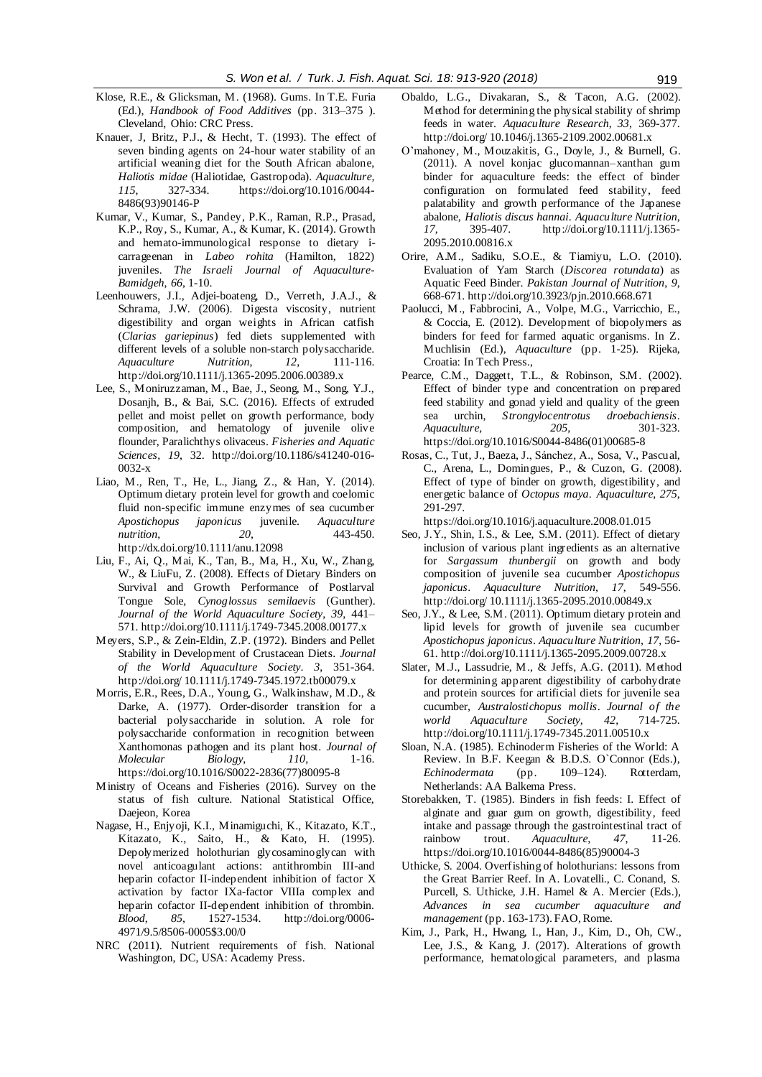- Klose, R.E., & Glicksman, M. (1968). Gums. In T.E. Furia (Ed.), *Handbook of Food Additives* (pp. 313–375 ). Cleveland, Ohio: CRC Press.
- Knauer, J, Britz, P.J., & Hecht, T. (1993). The effect of seven binding agents on 24-hour water stability of an artificial weaning diet for the South African abalone, *Haliotis midae* (Haliotidae, Gastropoda). *Aquaculture, 115*, 327-334. [https://doi.org/10.1016/0044-](https://doi.org/10.1016/0044-8486(93)90146-P) [8486\(93\)90146-P](https://doi.org/10.1016/0044-8486(93)90146-P)
- Kumar, V., Kumar, S., Pandey, P.K., Raman, R.P., Prasad, K.P., Roy, S., Kumar, A., & Kumar, K. (2014). Growth and hemato-immunological response to dietary icarrageenan in *Labeo rohita* (Hamilton, 1822) juveniles. *The Israeli Journal of Aquaculture-Bamidgeh*, *66*, 1-10.
- Leenhouwers, J.I., Adjei-boateng, D., Verreth, J.A.J., & Schrama, J.W. (2006). Digesta viscosity, nutrient digestibility and organ weights in African catfish (*Clarias gariepinus*) fed diets supplemented with different levels of a soluble non-starch polysaccharide.<br>Aquaculture Mutrition, 12, 111-116.  $A$ *quaculture* http://doi.org/10.1111/j.1365-2095.2006.00389.x
- Lee, S., Moniruzzaman, M., Bae, J., Seong, M., Song, Y.J., Dosanjh, B., & Bai, S.C. (2016). Effects of extruded pellet and moist pellet on growth performance, body composition, and hematology of juvenile olive flounder, Paralichthys olivaceus. *Fisheries and Aquatic Sciences*, *19*, 32. http://doi.org/10.1186/s41240-016- 0032-x
- Liao, M., Ren, T., He, L., Jiang, Z., & Han, Y. (2014). Optimum dietary protein level for growth and coelomic fluid non-specific immune enzymes of sea cucumber *Apostichopus japonicus* juvenile. *Aquaculture nutrition*, *20*, 443-450. http://dx.doi.org/10.1111/anu.12098
- Liu, F., Ai, Q., Mai, K., Tan, B., Ma, H., Xu, W., Zhang, W., & LiuFu, Z. (2008). Effects of Dietary Binders on Survival and Growth Performance of Postlarval Tongue Sole, *Cynoglossus semilaevis* (Gunther). *Journal of the World Aquaculture Society*, *39*, 441– 571. http://doi.org/10.1111/j.1749-7345.2008.00177.x
- Meyers, S.P., & Zein-Eldin, Z.P. (1972). Binders and Pellet Stability in Development of Crustacean Diets. *Journal of the World Aquaculture Society*. *3*, 351-364. http://doi.org/ 10.1111/j.1749-7345.1972.tb00079.x
- Morris, E.R., Rees, D.A., Young, G., Walkinshaw, M.D., & Darke, A. (1977). Order-disorder transition for a bacterial polysaccharide in solution. A role for polysaccharide conformation in recognition between Xanthomonas pathogen and its plant host. *Journal of Molecular Biology*, *110*, 1-16. https://doi.org/10.1016/S0022-2836(77)80095-8
- Ministry of Oceans and Fisheries (2016). Survey on the status of fish culture. National Statistical Office, Daejeon, Korea
- Nagase, H., Enjyoji, K.I., Minamiguchi, K., Kitazato, K.T., Kitazato, K., Saito, H., & Kato, H. (1995). Depolymerized holothurian glycosaminoglycan with novel anticoagulant actions: antithrombin III-and heparin cofactor II-independent inhibition of factor X activation by factor IXa-factor VIIIa complex and heparin cofactor II-dependent inhibition of thrombin. *Blood*, *85*, 1527-1534. http://doi.org/0006- 4971/9.5/8506-0005\$3.00/0
- NRC (2011). Nutrient requirements of fish. National Washington, DC, USA: Academy Press.
- Obaldo, L.G., Divakaran, S., & Tacon, A.G. (2002). Method for determining the physical stability of shrimp feeds in water. *Aquaculture Research*, *33*, 369-377. http://doi.org/ 10.1046/j.1365-2109.2002.00681.x
- O'mahoney, M., Mouzakitis, G., Doyle, J., & Burnell, G. (2011). A novel konjac glucomannan–xanthan gum binder for aquaculture feeds: the effect of binder configuration on formulated feed stability, feed palatability and growth performance of the Japanese abalone, *Haliotis discus hannai*. *Aquaculture Nutrition*, *17*, 395-407. http://doi.org/10.1111/j.1365- 2095.2010.00816.x
- Orire, A.M., Sadiku, S.O.E., & Tiamiyu, L.O. (2010). Evaluation of Yam Starch (*Discorea rotundata*) as Aquatic Feed Binder. *Pakistan Journal of Nutrition*, *9*, 668-671. http://doi.org/10.3923/pjn.2010.668.671
- Paolucci, M., Fabbrocini, A., Volpe, M.G., Varricchio, E., & Coccia, E. (2012). Development of biopolymers as binders for feed for farmed aquatic organisms. In Z. Muchlisin (Ed.), *Aquaculture* (pp. 1-25). Rijeka, Croatia: In Tech Press.,
- Pearce, C.M., Daggett, T.L., & Robinson, S.M. (2002). Effect of binder type and concentration on prepared feed stability and gonad yield and quality of the green sea urchin, *Strongylocentrotus droebachiensis*.  $A\alpha\alpha\alpha\alpha$ *lture*. https://doi.org/10.1016/S0044-8486(01)00685-8
- Rosas, C., Tut, J., Baeza, J., Sánchez, A., Sosa, V., Pascual, C., Arena, L., Domingues, P., & Cuzon, G. (2008). Effect of type of binder on growth, digestibility, and energetic balance of *Octopus maya*. *Aquaculture*, *275*, 291-297.

https://doi.org/10.1016/j.aquaculture.2008.01.015

- Seo, J.Y., Shin, I.S., & Lee, S.M. (2011). Effect of dietary inclusion of various plant ingredients as an alternative for *Sargassum thunbergii* on growth and body composition of juvenile sea cucumber *Apostichopus japonicus*. *Aquaculture Nutrition*, *17*, 549-556. http://doi.org/ 10.1111/j.1365-2095.2010.00849.x
- Seo, J.Y., & Lee, S.M. (2011). Optimum dietary protein and lipid levels for growth of juvenile sea cucumber *Apostichopus japonicus*. *Aquaculture Nutrition*, *17*, 56- 61. http://doi.org/10.1111/j.1365-2095.2009.00728.x
- Slater, M.J., Lassudrie, M., & Jeffs, A.G. (2011). Method for determining apparent digestibility of carbohydrate and protein sources for artificial diets for juvenile sea cucumber, *Australostichopus mollis*. *Journal of the world Aquaculture Society*, *42*, 714-725. http://doi.org/10.1111/j.1749-7345.2011.00510.x
- Sloan, N.A. (1985). Echinoderm Fisheries of the World: A Review. In B.F. Keegan & B.D.S. O`Connor (Eds.), *Echinodermata* (pp. 109–124). Rotterdam, Netherlands: AA Balkema Press.
- Storebakken, T. (1985). Binders in fish feeds: I. Effect of alginate and guar gum on growth, digestibility, feed intake and passage through the gastrointestinal tract of rainbow trout. *Aquaculture, 47*, 11-26. https://doi.org/10.1016/0044-8486(85)90004-3
- Uthicke, S. 2004. Overfishing of holothurians: lessons from the Great Barrier Reef. In A. Lovatelli., C. Conand, S. Purcell, S. Uthicke, J.H. Hamel & A. Mercier (Eds.), *Advances in sea cucumber aquaculture and management* (pp. 163-173). FAO, Rome.
- Kim, J., Park, H., Hwang, I., Han, J., Kim, D., Oh, CW., Lee, J.S., & Kang, J. (2017). Alterations of growth performance, hematological parameters, and plasma